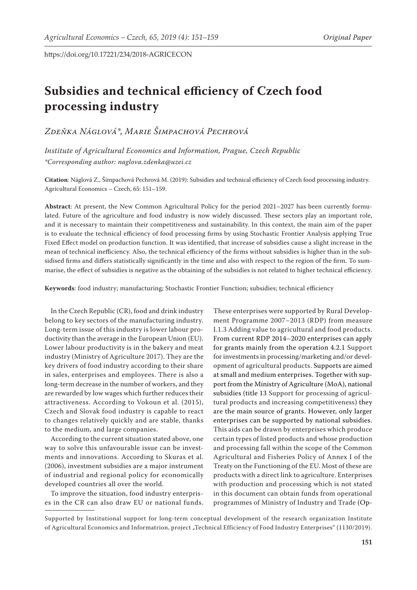# **Subsidies and technical efficiency of Czech food processing industry**

*Zdeňka Náglová\*, Marie Šimpachová Pechrová*

*Institute of Agricultural Economics and Information, Prague, Czech Republic \*Corresponding author: naglova.zdenka@uzei.cz*

**Citation**: Náglová Z., Šimpachová Pechrová M. (2019): Subsidies and technical efficiency of Czech food processing industry. Agricultural Economics – Czech, 65: 151–159.

**Abstract**: At present, the New Common Agricultural Policy for the period 2021–2027 has been currently formulated. Future of the agriculture and food industry is now widely discussed. These sectors play an important role, and it is necessary to maintain their competitiveness and sustainability. In this context, the main aim of the paper is to evaluate the technical efficiency of food processing firms by using Stochastic Frontier Analysis applying True Fixed Effect model on production function. It was identified, that increase of subsidies cause a slight increase in the mean of technical inefficiency. Also, the technical efficiency of the firms without subsidies is higher than in the subsidised firms and differs statistically significantly in the time and also with respect to the region of the firm. To summarise, the effect of subsidies is negative as the obtaining of the subsidies is not related to higher technical efficiency.

**Keywords**: food industry; manufacturing; Stochastic Frontier Function; subsidies; technical efficiency

In the Czech Republic (CR), food and drink industry belong to key sectors of the manufacturing industry. Long-term issue of this industry is lower labour productivity than the average in the European Union (EU). Lower labour productivity is in the bakery and meat industry (Ministry of Agriculture 2017). They are the key drivers of food industry according to their share in sales, enterprises and employees. There is also a long-term decrease in the number of workers, and they are rewarded by low wages which further reduces their attractiveness. According to Vokoun et al. (2015), Czech and Slovak food industry is capable to react to changes relatively quickly and are stable, thanks to the medium, and large companies.

According to the current situation stated above, one way to solve this unfavourable issue can be investments and innovations. According to Skuras et al. (2006), investment subsidies are a major instrument of industrial and regional policy for economically developed countries all over the world.

To improve the situation, food industry enterprises in the CR can also draw EU or national funds. These enterprises were supported by Rural Development Programme 2007–2013 (RDP) from measure I.1.3 Adding value to agricultural and food products. From current RDP 2014–2020 enterprises can apply for grants mainly from the operation 4.2.1 Support for investments in processing/marketing and/or development of agricultural products. Supports are aimed at small and medium enterprises. Together with support from the Ministry of Agriculture (MoA), national subsidies (title 13 Support for processing of agricultural products and increasing competitiveness) they are the main source of grants. However, only larger enterprises can be supported by national subsidies. This aids can be drawn by enterprises which produce certain types of listed products and whose production and processing fall within the scope of the Common Agricultural and Fisheries Policy of Annex I of the Treaty on the Functioning of the EU. Most of these are products with a direct link to agriculture. Enterprises with production and processing which is not stated in this document can obtain funds from operational programmes of Ministry of Industry and Trade (Op-

Supported by Institutional support for long-term conceptual development of the research organization Institute of Agricultural Economics and Informatrion, project "Technical Efficiency of Food Industry Enterprises" (1130/2019).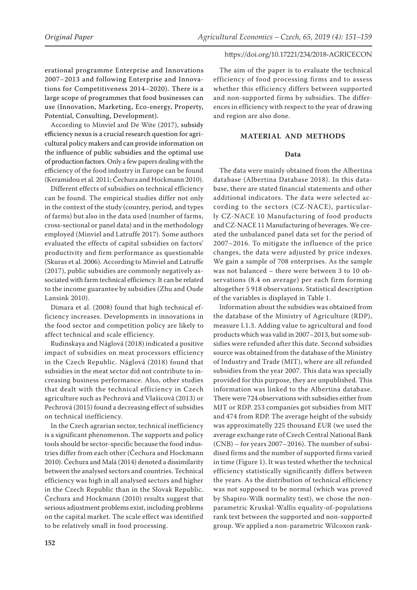erational programme Enterprise and Innovations 2007–2013 and following Enterprise and Innovations for Competitiveness 2014–2020). There is a large scope of programmes that food businesses can use (Innovation, Marketing, Eco-energy, Property, Potential, Consulting, Development).

According to Minviel and De Wite (2017), subsidy efficiency nexus is a crucial research question for agricultural policy makers and can provide information on the influence of public subsidies and the optimal use of production factors.Only a few papers dealing with the efficiency of the food industry in Europe can be found (Keramidou et al. 2011; Čechura and Hockmann 2010).

Different effects of subsidies on technical efficiency can be found. The empirical studies differ not only in the context of the study (country, period, and types of farms) but also in the data used (number of farms, cross-sectional or panel data) and in the methodology employed (Minviel and Latruffe 2017). Some authors evaluated the effects of capital subsidies on factors' productivity and firm performance as questionable (Skuras et al. 2006). According to Minviel and Latruffe (2017), public subsidies are commonly negatively associated with farm technical efficiency. It can be related to the income guarantee by subsidies (Zhu and Oude Lansink 2010).

Dimara et al. (2008) found that high technical efficiency increases. Developments in innovations in the food sector and competition policy are likely to affect technical and scale efficiency.

Rudinskaya and Náglová (2018) indicated a positive impact of subsidies on meat processors efficiency in the Czech Republic. Náglová (2018) found that subsidies in the meat sector did not contribute to increasing business performance. Also, other studies that dealt with the technical efficiency in Czech agriculture such as Pechrová and Vlašicová (2013) or Pechrová (2015) found a decreasing effect of subsidies on technical inefficiency.

In the Czech agrarian sector, technical inefficiency is a significant phenomenon. The supports and policy tools should be sector-specific because the food industries differ from each other (Čechura and Hockmann 2010). Čechura and Malá (2014) denoted a dissimilarity between the analysed sectors and countries. Technical efficiency was high in all analysed sectors and higher in the Czech Republic than in the Slovak Republic. Čechura and Hockmann (2010) results suggest that serious adjustment problems exist, including problems on the capital market. The scale effect was identified to be relatively small in food processing.

The aim of the paper is to evaluate the technical efficiency of food processing firms and to assess whether this efficiency differs between supported and non-supported firms by subsidies. The differences in efficiency with respect to the year of drawing and region are also done.

# **MATERIAL AND METHODS**

## **Data**

The data were mainly obtained from the Albertina database (Albertina Database 2018). In this database, there are stated financial statements and other additional indicators. The data were selected according to the sectors (CZ-NACE), particularly CZ-NACE 10 Manufacturing of food products and CZ-NACE 11 Manufacturing of beverages. We created the unbalanced panel data set for the period of 2007–2016. To mitigate the influence of the price changes, the data were adjusted by price indexes. We gain a sample of 708 enterprises. As the sample was not balanced – there were between 3 to 10 observations (8.4 on average) per each firm forming altogether 5 918 observations. Statistical description of the variables is displayed in Table 1.

Information about the subsidies was obtained from the database of the Ministry of Agriculture (RDP), measure I.1.3. Adding value to agricultural and food products which was valid in 2007–2013, but some subsidies were refunded after this date. Second subsidies source was obtained from the database of the Ministry of Industry and Trade (MIT), where are all refunded subsidies from the year 2007. This data was specially provided for this purpose, they are unpublished. This information was linked to the Albertina database. There were 724 observations with subsidies either from MIT or RDP. 253 companies got subsidies from MIT and 474 from RDP. The average height of the subsidy was approximatelly 225 thousand EUR (we used the average exchange rate of Czech Central National Bank (CNB) – for years 2007–2016). The number of subsidised firms and the number of supported firms varied in time (Figure 1). It was tested whether the technical efficiency statistically significantly differs between the years. As the distribution of technical efficiency was not supposed to be normal (which was proved by Shapiro-Wilk normality test), we chose the nonparametric Kruskal-Wallis equality-of-populations rank test between the supported and non-supported group. We applied a non-parametric Wilcoxon rank-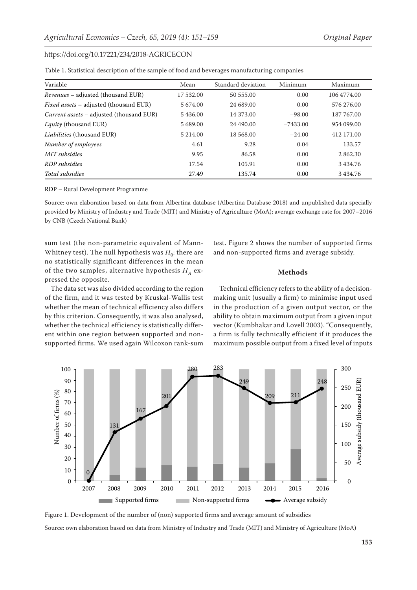| Variable                                      | Mean      | Standard deviation | Minimum    | Maximum     |
|-----------------------------------------------|-----------|--------------------|------------|-------------|
| <i>Revenues</i> – adjusted (thousand EUR)     | 17 532.00 | 50 555.00          | 0.00       | 106 4774.00 |
| <i>Fixed assets</i> – adjusted (thousand EUR) | 5 674.00  | 24 689.00          | 0.00       | 576 276.00  |
| Current assets - adjusted (thousand EUR)      | 5436.00   | 14 373.00          | $-98.00$   | 187 767.00  |
| <i>Equity</i> (thousand EUR)                  | 5 689.00  | 24 490.00          | $-7433.00$ | 954 099,00  |
| <i>Liabilities</i> (thousand EUR)             | 5 214.00  | 18 568.00          | $-24.00$   | 412 171.00  |
| Number of employees                           | 4.61      | 9.28               | 0.04       | 133.57      |
| MIT subsidies                                 | 9.95      | 86.58              | 0.00       | 2862.30     |
| RDP subsidies                                 | 17.54     | 105.91             | 0.00       | 3434.76     |
| Total subsidies                               | 27.49     | 135.74             | 0.00       | 3434.76     |

Table 1. Statistical description of the sample of food and beverages manufacturing companies

RDP – Rural Development Programme

Source: own elaboration based on data from Albertina database (Albertina Database 2018) and unpublished data specially provided by Ministry of Industry and Trade (MIT) and Ministry of Agriculture (MoA); average exchange rate for 2007–2016 by CNB (Czech National Bank)

sum test (the non-parametric equivalent of Mann-Whitney test). The null hypothesis was  $H_0$ : there are no statistically significant differences in the mean of the two samples, alternative hypothesis  $H_A$  expressed the opposite.

test. Figure 2 shows the number of supported firms and non-supported firms and average subsidy.

## **Methods**

The data set was also divided according to the region of the firm, and it was tested by Kruskal-Wallis test whether the mean of technical efficiency also differs by this criterion. Consequently, it was also analysed, whether the technical efficiency is statistically different within one region between supported and nonsupported firms. We used again Wilcoxon rank-sum

Technical efficiency refers to the ability of a decisionmaking unit (usually a firm) to minimise input used in the production of a given output vector, or the ability to obtain maximum output from a given input vector (Kumbhakar and Lovell 2003). "Consequently, a firm is fully technically efficient if it produces the maximum possible output from a fixed level of inputs



Figure 1. Development of the number of (non) supported firms and average amount of subsidies Source: own elaboration based on data from Ministry of Industry and Trade (MIT) and Ministry of Agriculture (MoA)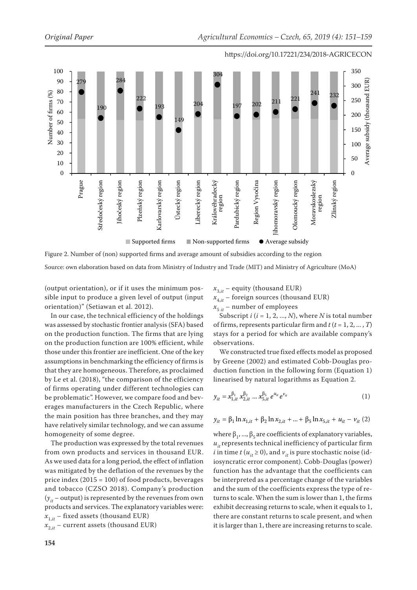

Figure 2. Number of (non) supported firms and average amount of subsidies according to the region Source: own elaboration based on data from Ministry of Industry and Trade (MIT) and Ministry of Agriculture (MoA)

(output orientation), or if it uses the minimum possible input to produce a given level of output (input orientation)" (Setiawan et al. 2012).

In our case, the technical efficiency of the holdings was assessed by stochastic frontier analysis (SFA) based on the production function. The firms that are lying on the production function are 100% efficient, while those under this frontier are inefficient. One of the key assumptions in benchmarking the efficiency of firms is that they are homogeneous. Therefore, as proclaimed by Le et al. (2018), "the comparison of the efficiency of firms operating under different technologies can be problematic". However, we compare food and beverages manufacturers in the Czech Republic, where the main position has three branches, and they may have relatively similar technology, and we can assume homogeneity of some degree.

The production was expressed by the total revenues from own products and services in thousand EUR. As we used data for a long period, the effect of inflation was mitigated by the deflation of the revenues by the price index  $(2015 = 100)$  of food products, beverages and tobacco (CZSO 2018). Company's production  $(y_{it}$  – output) is represented by the revenues from own products and services. The explanatory variables were:  $x_{1,it}$  – fixed assets (thousand EUR)

 $x_{2,i}$  – current assets (thousand EUR)

 $x_{3,it}$  – equity (thousand EUR)

 $x_{4,i}$  – foreign sources (thousand EUR)

 $x_{5 it}$  – number of employees

Subscript *i* (*i* = 1, 2, ..., *N*), where *N* is total number of firms, represents particular firm and  $t$  ( $t$  = 1, 2, ..., *T*) stays for a period for which are available company's observations.

We constructed true fixed effects model as proposed by Greene (2002) and estimated Cobb-Douglas production function in the following form (Equation 1) linearised by natural logarithms as Equation 2.

$$
y_{it} = x_{1,it}^{\beta_1} x_{2,it}^{\beta_2} \dots x_{5,it}^{\beta_5} e^{u_{it}} e^{v_{it}}
$$
(1)

$$
y_{it} = \beta_1 \ln x_{1,it} + \beta_2 \ln x_{2,it} + ... + \beta_5 \ln x_{5,it} + u_{it} - v_{it} (2)
$$

where  $\beta_1$ , ...,  $\beta_5$  are coefficients of explanatory variables,  $u_{it}$  represents technical inefficiency of particular firm *i* in time *t* ( $u_{it} \ge 0$ ), and  $v_{it}$  is pure stochastic noise (idiosyncratic error component). Cobb-Douglas (power) function has the advantage that the coefficients can be interpreted as a percentage change of the variables and the sum of the coefficients express the type of returns to scale. When the sum is lower than 1, the firms exhibit decreasing returns to scale, when it equals to 1, there are constant returns to scale present, and when it is larger than 1, there are increasing returns to scale.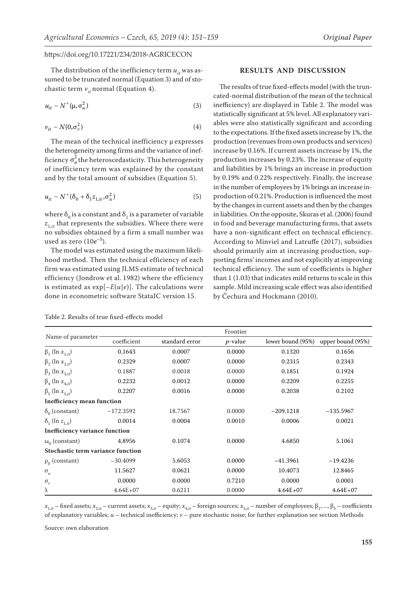The distribution of the inefficiency term  $u_{it}$  was assumed to be truncated normal (Equation 3) and of stochastic term  $v_{i}$  normal (Equation 4).

$$
u_{it} \sim N^+(\mu, \sigma_u^2) \tag{3}
$$

$$
v_{it} \sim N(0, \sigma_v^2) \tag{4}
$$

The mean of the technical inefficiency  $\mu$  expresses the heterogeneity among firms and the variance of inefficiency  $\sigma_u^2$  the heteroscedasticity. This heterogeneity of inefficiency term was explained by the constant and by the total amount of subsidies (Equation 5).

$$
u_{it} \sim N^+(\delta_0 + \delta_1 z_{1,it}, \sigma_u^2) \tag{5}
$$

where  $\delta_0$  is a constant and  $\delta_1$  is a parameter of variable  $z_{1,it}$  that represents the subsidies. Where there were no subsidies obtained by a firm a small number was used as zero (10*e*–5).

The model was estimated using the maximum likelihood method. Then the technical efficiency of each firm was estimated using JLMS estimate of technical efficiency (Jondrow et al. 1982) where the efficiency is estimated as  $exp[-E(u|e)]$ . The calculations were done in econometric software StataIC version 15.

#### Table 2. Results of true fixed-effects model

#### **RESULTS AND DISCUSSION**

The results of true fixed-effects model (with the truncated-normal distribution of the mean of the technical inefficiency) are displayed in Table 2. The model was statistically significant at 5% level. All explanatory variables were also statistically significant and according to the expectations. If the fixed assets increase by 1%, the production (revenues from own products and services) increase by 0.16%. If current assets increase by 1%, the production increases by 0.23%. The increase of equity and liabilities by 1% brings an increase in production by 0.19% and 0.22% respectively. Finally, the increase in the number of employees by 1% brings an increase inproduction of 0.21%. Production is influenced the most by the changes in current assets and then by the changes in liabilities. On the opposite, Skuras et al. (2006) found in food and beverage manufacturing firms, that assets have a non-significant effect on technical efficiency. According to Minviel and Latruffe (2017), subsidies should primarily aim at increasing production, supporting firms' incomes and not explicitly at improving technical efficiency. The sum of coefficients is higher than 1 (1.03) that indicates mild returns to scale in this sample. Mild increasing scale effect was also identified by Čechura and Hockmann (2010).

|                                       | Frontier    |                                                   |                   |              |              |  |  |
|---------------------------------------|-------------|---------------------------------------------------|-------------------|--------------|--------------|--|--|
| Name of parameter                     | coefficient | standard error<br>$p$ -value<br>lower bound (95%) | upper bound (95%) |              |              |  |  |
| $β_1$ (ln $x_{1,it}$ )                | 0.1643      | 0.0007                                            | 0.0000            | 0.1320       | 0.1656       |  |  |
| $β_2$ (ln $x_{2it}$ )                 | 0.2329      | 0.0007                                            | 0.0000            | 0.2315       | 0.2343       |  |  |
| $β_3$ (ln $x_{3it}$ )                 | 0.1887      | 0.0018                                            | 0.0000            | 0.1851       | 0.1924       |  |  |
| $\beta_4$ (ln $x_{4,it}$ )            | 0.2232      | 0.0012                                            | 0.0000            | 0.2209       | 0.2255       |  |  |
| $β_5$ (ln $x_{5it}$ )                 | 0.2207      | 0.0016                                            | 0.0000            | 0.2038       | 0.2102       |  |  |
| <b>Inefficiency mean function</b>     |             |                                                   |                   |              |              |  |  |
| $\delta_0$ (constant)                 | $-172.3592$ | 18.7567                                           | 0.0000            | $-209.1218$  | $-135.5967$  |  |  |
| $\delta_1$ (ln $z_{1it}$ )            | 0.0014      | 0.0004                                            | 0.0010            | 0.0006       | 0.0021       |  |  |
| <b>Inefficiency variance function</b> |             |                                                   |                   |              |              |  |  |
| $\omega_0$ (constant)                 | 4.8956      | 0.1074                                            | 0.0000            | 4.6850       | 5.1061       |  |  |
| Stochastic term variance function     |             |                                                   |                   |              |              |  |  |
| $\rho_0$ (constant)                   | $-30.4099$  | 5.6053                                            | 0.0000            | $-41.3961$   | $-19.4236$   |  |  |
| $\sigma_{_{\mathcal{U}}}$             | 11.5627     | 0.0621                                            | 0.0000            | 10.4073      | 12.8465      |  |  |
| $\sigma_{\nu}$                        | 0.0000      | 0.0000                                            | 0.7210            | 0.0000       | 0.0001       |  |  |
| λ                                     | $4.64E+07$  | 0.6211                                            | 0.0000            | $4.64E + 07$ | $4.64E + 07$ |  |  |

 $x_{1, it}$  – fixed assets;  $x_{2, it}$  – current assets;  $x_{3, it}$  – equity;  $x_{4, it}$  – foreign sources;  $x_{5, it}$  – number of employees;  $\beta_1$ , ...,  $\beta_5$  – coefficients of explanatory variables;  $u$  – technical inefficiency;  $v$  – pure stochastic noise; for further explanation see section Methods

Source: own elaboration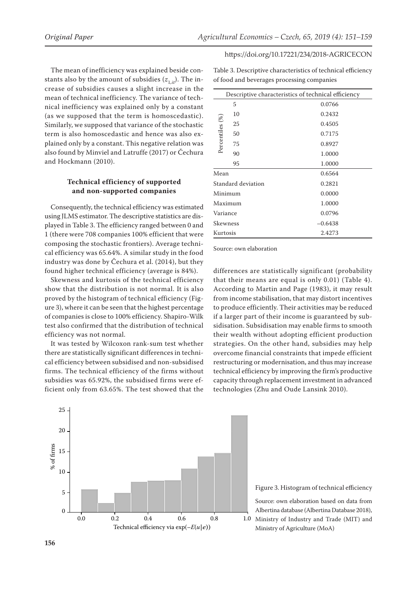of food and beverages processing companies

#### https://doi.org/10.17221/234/2018-AGRICECON

Table 3. Descriptive characteristics of technical efficiency

The mean of inefficiency was explained beside constants also by the amount of subsidies  $(z_{1,it})$ . The increase of subsidies causes a slight increase in the mean of technical inefficiency. The variance of technical inefficiency was explained only by a constant (as we supposed that the term is homoscedastic). Similarly, we supposed that variance of the stochastic term is also homoscedastic and hence was also explained only by a constant. This negative relation was also found by Minviel and Latruffe (2017) or Čechura and Hockmann (2010).

## **Technical efficiency of supported and non-supported companies**

Consequently, the technical efficiency was estimated using JLMS estimator. The descriptive statistics are displayed in Table 3. The efficiency ranged between 0 and 1 (there were 708 companies 100% efficient that were composing the stochastic frontiers). Average technical efficiency was 65.64%. A similar study in the food industry was done by Čechura et al. (2014), but they found higher technical efficiency (average is 84%).

Skewness and kurtosis of the technical efficiency show that the distribution is not normal. It is also proved by the histogram of technical efficiency (Figure 3), where it can be seen that the highest percentage of companies is close to 100% efficiency. Shapiro-Wilk test also confirmed that the distribution of technical efficiency was not normal.

It was tested by Wilcoxon rank-sum test whether there are statistically significant differences in technical efficiency between subsidised and non-subsidised firms. The technical efficiency of the firms without subsidies was 65.92%, the subsidised firms were efficient only from 63.65%. The test showed that the

| Descriptive characteristics of technical efficiency |                    |           |  |  |
|-----------------------------------------------------|--------------------|-----------|--|--|
|                                                     | 5                  | 0.0766    |  |  |
|                                                     | 10                 | 0.2432    |  |  |
|                                                     | 25                 | 0.4505    |  |  |
|                                                     | 50                 | 0.7175    |  |  |
| Percentiles (%)                                     | 75                 | 0.8927    |  |  |
|                                                     | 90                 | 1.0000    |  |  |
|                                                     | 95                 | 1.0000    |  |  |
| Mean                                                |                    | 0.6564    |  |  |
|                                                     | Standard deviation | 0.2821    |  |  |
| Minimum                                             |                    | 0.0000    |  |  |
| Maximum                                             |                    | 1.0000    |  |  |
| Variance                                            |                    | 0.0796    |  |  |
| Skewness                                            |                    | $-0.6438$ |  |  |
| Kurtosis                                            |                    | 2.4273    |  |  |
|                                                     |                    |           |  |  |

Source: own elaboration

differences are statistically significant (probability that their means are equal is only 0.01) (Table 4). According to Martin and Page (1983), it may result from income stabilisation, that may distort incentives to produce efficiently. Their activities may be reduced if a larger part of their income is guaranteed by subsidisation. Subsidisation may enable firms to smooth their wealth without adopting efficient production strategies. On the other hand, subsidies may help overcome financial constraints that impede efficient restructuring or modernisation, and thus may increase technical efficiency by improving the firm's productive capacity through replacement investment in advanced technologies (Zhu and Oude Lansink 2010).



Figure 3. Histogram of technical efficiency

Source: own elaboration based on data from Albertina database (Albertina Database 2018),

Ministry of Industry and Trade (MIT) and Ministry of Agriculture (MoA)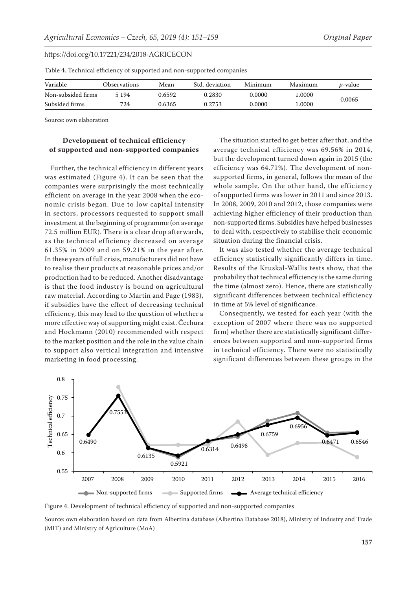| Variable           | Observations | Mean   | Std. deviation | Minimum | Maximum | <i>p</i> -value |
|--------------------|--------------|--------|----------------|---------|---------|-----------------|
| Non-subsided firms | 5 1 9 4      | 0.6592 | 0.2830         | 0.0000  | .0000   |                 |
| Subsided firms     | 724          | 9.6365 | 0.2753         | 0.0000  | .0000   | 0.0065          |

Table 4. Technical efficiency of supported and non-supported companies

Source: own elaboration

## **Development of technical efficiency of supported and non-supported companies**

Further, the technical efficiency in different years was estimated (Figure 4). It can be seen that the companies were surprisingly the most technically efficient on average in the year 2008 when the economic crisis began. Due to low capital intensity in sectors, processors requested to support small investment at the beginning of programme (on average 72.5 million EUR). There is a clear drop afterwards, as the technical efficiency decreased on average 61.35% in 2009 and on 59.21% in the year after. In these years of full crisis, manufacturers did not have to realise their products at reasonable prices and/or production had to be reduced. Another disadvantage is that the food industry is bound on agricultural raw material. According to Martin and Page (1983), if subsidies have the effect of decreasing technical efficiency, this may lead to the question of whether a more effective way of supporting might exist. Čechura and Hockmann (2010) recommended with respect to the market position and the role in the value chain to support also vertical integration and intensive marketing in food processing.

The situation started to get better after that, and the average technical efficiency was 69.56% in 2014, but the development turned down again in 2015 (the efficiency was 64.71%). The development of nonsupported firms, in general, follows the mean of the whole sample. On the other hand, the efficiency of supported firms was lower in 2011 and since 2013. In 2008, 2009, 2010 and 2012, those companies were achieving higher efficiency of their production than non-supported firms. Subsidies have helped businesses to deal with, respectively to stabilise their economic situation during the financial crisis.

It was also tested whether the average technical efficiency statistically significantly differs in time. Results of the Kruskal-Wallis tests show, that the probability that technical efficiency is the same during the time (almost zero). Hence, there are statistically significant differences between technical efficiency in time at 5% level of significance.

Consequently, we tested for each year (with the exception of 2007 where there was no supported firm) whether there are statistically significant differences between supported and non-supported firms in technical efficiency. There were no statistically significant differences between these groups in the



Figure 4. Development of technical efficiency of supported and non-supported companies

Source: own elaboration based on data from Albertina database (Albertina Database 2018), Ministry of Industry and Trade (MIT) and Ministry of Agriculture (MoA)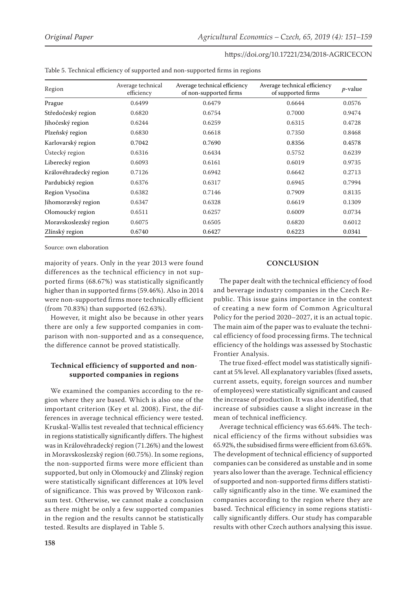| Region                 | Average technical<br>efficiency | Average technical efficiency<br>of non-supported firms | Average technical efficiency<br>of supported firms | $p$ -value |
|------------------------|---------------------------------|--------------------------------------------------------|----------------------------------------------------|------------|
| Prague                 | 0.6499                          | 0.6479                                                 | 0.6644                                             | 0.0576     |
| Středočeský region     | 0.6820                          | 0.6754                                                 | 0.7000                                             | 0.9474     |
| Jihočeský region       | 0.6244                          | 0.6259                                                 | 0.6315                                             | 0.4728     |
| Plzeňský region        | 0.6830                          | 0.6618                                                 | 0.7350                                             | 0.8468     |
| Karlovarský region     | 0.7042                          | 0.7690                                                 | 0.8356                                             | 0.4578     |
| Ústecký region         | 0.6316                          | 0.6434                                                 | 0.5752                                             | 0.6239     |
| Liberecký region       | 0.6093                          | 0.6161                                                 | 0.6019                                             | 0.9735     |
| Královéhradecký region | 0.7126                          | 0.6942                                                 | 0.6642                                             | 0.2713     |
| Pardubický region      | 0.6376                          | 0.6317                                                 | 0.6945                                             | 0.7994     |
| Region Vysočina        | 0.6382                          | 0.7146                                                 | 0.7909                                             | 0.8135     |
| Jihomoravský region    | 0.6347                          | 0.6328                                                 | 0.6619                                             | 0.1309     |
| Olomoucký region       | 0.6511                          | 0.6257                                                 | 0.6009                                             | 0.0734     |
| Moravskoslezský region | 0.6075                          | 0.6505                                                 | 0.6820                                             | 0.6012     |
| Zlínský region         | 0.6740                          | 0.6427                                                 | 0.6223                                             | 0.0341     |

Table 5. Technical efficiency of supported and non-supported firms in regions

Source: own elaboration

majority of years. Only in the year 2013 were found differences as the technical efficiency in not supported firms (68.67%) was statistically significantly higher than in supported firms (59.46%). Also in 2014 were non-supported firms more technically efficient (from 70.83%) than supported (62.63%).

However, it might also be because in other years there are only a few supported companies in comparison with non-supported and as a consequence, the difference cannot be proved statistically.

## **Technical efficiency of supported and nonsupported companies in regions**

We examined the companies according to the region where they are based. Which is also one of the important criterion (Key et al. 2008). First, the differences in average technical efficiency were tested. Kruskal-Wallis test revealed that technical efficiency in regions statistically significantly differs. The highest was in Královéhradecký region (71.26%) and the lowest in Moravskoslezský region (60.75%). In some regions, the non-supported firms were more efficient than supported, but only in Olomoucký and Zlínský region were statistically significant differences at 10% level of significance. This was proved by Wilcoxon ranksum test. Otherwise, we cannot make a conclusion as there might be only a few supported companies in the region and the results cannot be statistically tested. Results are displayed in Table 5.

## **CONCLUSION**

The paper dealt with the technical efficiency of food and beverage industry companies in the Czech Republic. This issue gains importance in the context of creating a new form of Common Agricultural Policy for the period 2020–2027, it is an actual topic. The main aim of the paper was to evaluate the technical efficiency of food processing firms. The technical efficiency of the holdings was assessed by Stochastic Frontier Analysis.

The true fixed-effect model was statistically significant at 5% level. All explanatory variables (fixed assets, current assets, equity, foreign sources and number of employees) were statistically significant and caused the increase of production. It was also identified, that increase of subsidies cause a slight increase in the mean of technical inefficiency.

Average technical efficiency was 65.64%. The technical efficiency of the firms without subsidies was 65.92%, the subsidised firms were efficient from 63.65%. The development of technical efficiency of supported companies can be considered as unstable and in some years also lower than the average. Technical efficiency of supported and non-supported firms differs statistically significantly also in the time. We examined the companies according to the region where they are based. Technical efficiency in some regions statistically significantly differs. Our study has comparable results with other Czech authors analysing this issue.